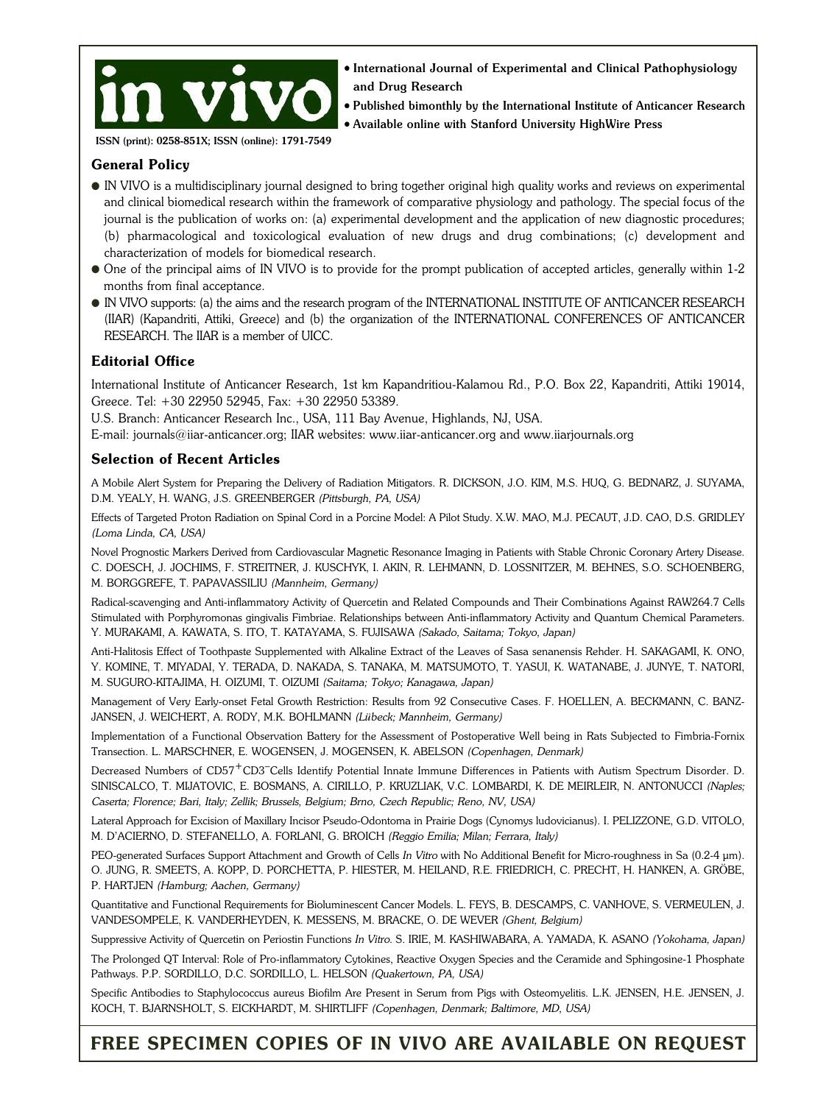

 $\bullet$  International Journal of Experimental and Clinical Pathophysiology and Drug Research

<sup>l</sup> Published bimonthly by the International Institute of Anticancer Research <sup>l</sup> Available online with Stanford University HighWire Press

ISSN (print): 0258-851X; ISSN (online): 1791-7549

### **General Policy**

- l IN VIVO is a multidisciplinary journal designed to bring together original high quality works and reviews on experimental and clinical biomedical research within the framework of comparative physiology and pathology. The special focus of the journal is the publication of works on: (a) experimental development and the application of new diagnostic procedures; (b) pharmacological and toxicological evaluation of new drugs and drug combinations; (c) development and characterization of models for biomedical research.
- l One of the principal aims of IN VIVO is to provide for the prompt publication of accepted articles, generally within 1-2 months from final acceptance.
- l IN VIVO supports: (a) the aims and the research program of the INTERNATIONAL INSTITUTE OF ANTICANCER RESEARCH (IIAR) (Kapandriti, Attiki, Greece) and (b) the organization of the INTERNATIONAL CONFERENCES OF ANTICANCER RESEARCH. The IIAR is a member of UICC.

## **Editorial Office**

International Institute of Anticancer Research, 1st km Kapandritiou-Kalamou Rd., P.O. Box 22, Kapandriti, Attiki 19014, Greece. Tel: +30 22950 52945, Fax: +30 22950 53389.

U.S. Branch: Anticancer Research Inc., USA, 111 Bay Avenue, Highlands, NJ, USA.

E-mail: journals@iiar-anticancer.org; IIAR websites: www.iiar-anticancer.org and www.iiarjournals.org

## **Selection of Recent Articles**

A Mobile Alert System for Preparing the Delivery of Radiation Mitigators. R. DICKSON, J.O. KIM, M.S. HUQ, G. BEDNARZ, J. SUYAMA, D.M. YEALY, H. WANG, J.S. GREENBERGER *(Pittsburgh, PA, USA)*

Effects of Targeted Proton Radiation on Spinal Cord in a Porcine Model: A Pilot Study. X.W. MAO, M.J. PECAUT, J.D. CAO, D.S. GRIDLEY *(Loma Linda, CA, USA)*

Novel Prognostic Markers Derived from Cardiovascular Magnetic Resonance Imaging in Patients with Stable Chronic Coronary Artery Disease. C. DOESCH, J. JOCHIMS, F. STREITNER, J. KUSCHYK, I. AKIN, R. LEHMANN, D. LOSSNITZER, M. BEHNES, S.O. SCHOENBERG, M. BORGGREFE, T. PAPAVASSILIU *(Mannheim, Germany)*

Radical-scavenging and Anti-inflammatory Activity of Quercetin and Related Compounds and Their Combinations Against RAW264.7 Cells Stimulated with Porphyromonas gingivalis Fimbriae. Relationships between Anti-inflammatory Activity and Quantum Chemical Parameters. Y. MURAKAMI, A. KAWATA, S. ITO, T. KATAYAMA, S. FUJISAWA *(Sakado, Saitama; Tokyo, Japan)*

Anti-Halitosis Effect of Toothpaste Supplemented with Alkaline Extract of the Leaves of Sasa senanensis Rehder. H. SAKAGAMI, K. ONO, Y. KOMINE, T. MIYADAI, Y. TERADA, D. NAKADA, S. TANAKA, M. MATSUMOTO, T. YASUI, K. WATANABE, J. JUNYE, T. NATORI, M. SUGURO-KITAJIMA, H. OIZUMI, T. OIZUMI *(Saitama; Tokyo; Kanagawa, Japan)*

Management of Very Early-onset Fetal Growth Restriction: Results from 92 Consecutive Cases. F. HOELLEN, A. BECKMANN, C. BANZ-JANSEN, J. WEICHERT, A. RODY, M.K. BOHLMANN *(Lübeck; Mannheim, Germany)*

Implementation of a Functional Observation Battery for the Assessment of Postoperative Well being in Rats Subjected to Fimbria-Fornix Transection. L. MARSCHNER, E. WOGENSEN, J. MOGENSEN, K. ABELSON *(Copenhagen, Denmark)*

Decreased Numbers of CD57<sup>+</sup>CD3<sup>-</sup>Cells Identify Potential Innate Immune Differences in Patients with Autism Spectrum Disorder. D. SINISCALCO, T. MIJATOVIC, E. BOSMANS, A. CIRILLO, P. KRUZLIAK, V.C. LOMBARDI, K. DE MEIRLEIR, N. ANTONUCCI *(Naples; Caserta; Florence; Bari, Italy; Zellik; Brussels, Belgium; Brno, Czech Republic; Reno, NV, USA)*

Lateral Approach for Excision of Maxillary Incisor Pseudo-Odontoma in Prairie Dogs (Cynomys ludovicianus). I. PELIZZONE, G.D. VITOLO, M. D'ACIERNO, D. STEFANELLO, A. FORLANI, G. BROICH *(Reggio Emilia; Milan; Ferrara, Italy)*

PEO-generated Surfaces Support Attachment and Growth of Cells *In Vitro* with No Additional Benefit for Micro-roughness in Sa (0.2-4 µm). O. JUNG, R. SMEETS, A. KOPP, D. PORCHETTA, P. HIESTER, M. HEILAND, R.E. FRIEDRICH, C. PRECHT, H. HANKEN, A. GRÖBE, P. HARTJEN *(Hamburg; Aachen, Germany)*

Quantitative and Functional Requirements for Bioluminescent Cancer Models. L. FEYS, B. DESCAMPS, C. VANHOVE, S. VERMEULEN, J. VANDESOMPELE, K. VANDERHEYDEN, K. MESSENS, M. BRACKE, O. DE WEVER *(Ghent, Belgium)*

Suppressive Activity of Quercetin on Periostin Functions *In Vitro*. S. IRIE, M. KASHIWABARA, A. YAMADA, K. ASANO *(Yokohama, Japan)*

The Prolonged QT Interval: Role of Pro-inflammatory Cytokines, Reactive Oxygen Species and the Ceramide and Sphingosine-1 Phosphate Pathways. P.P. SORDILLO, D.C. SORDILLO, L. HELSON *(Quakertown, PA, USA)*

Specific Antibodies to Staphylococcus aureus Biofilm Are Present in Serum from Pigs with Osteomyelitis. L.K. JENSEN, H.E. JENSEN, J. KOCH, T. BJARNSHOLT, S. EICKHARDT, M. SHIRTLIFF *(Copenhagen, Denmark; Baltimore, MD, USA)*

# **FREE SPECIMEN COPIES OF IN VIVO ARE AVAILABLE ON REQUEST**